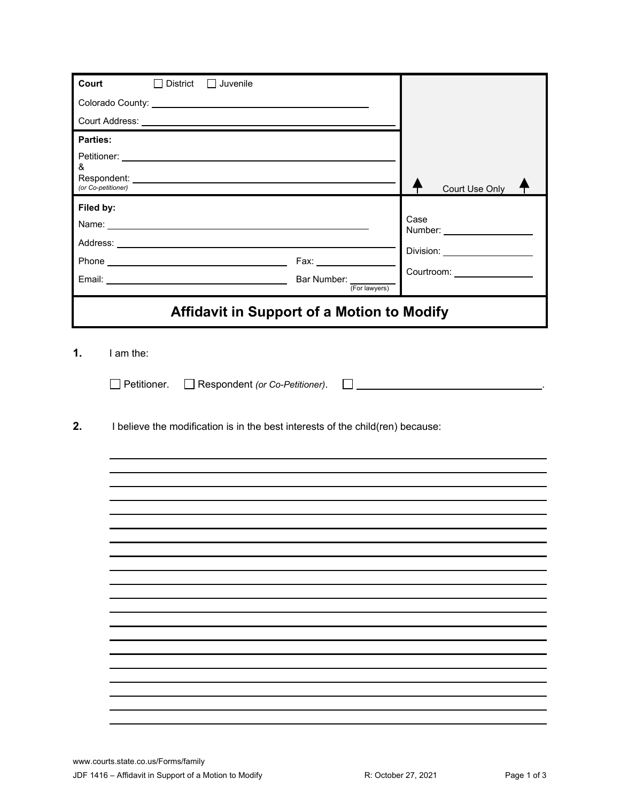| Court<br>$\square$ District<br>$\Box$ Juvenile                                                                                                                                                                                 |                           |                                |
|--------------------------------------------------------------------------------------------------------------------------------------------------------------------------------------------------------------------------------|---------------------------|--------------------------------|
|                                                                                                                                                                                                                                |                           |                                |
|                                                                                                                                                                                                                                |                           |                                |
| <b>Parties:</b>                                                                                                                                                                                                                |                           |                                |
|                                                                                                                                                                                                                                |                           |                                |
| &                                                                                                                                                                                                                              |                           |                                |
| (or Co-petitioner)                                                                                                                                                                                                             |                           | Court Use Only                 |
| Filed by:                                                                                                                                                                                                                      |                           | Case                           |
| Name: 2008 2010 2020 2020 2020 2021 2021 2022 2022 2022 2022 2022 2022 2022 2022 2022 2022 2022 2022 2022 2022                                                                                                                 |                           |                                |
|                                                                                                                                                                                                                                |                           | Division: ____________________ |
| Phone experience and the state of the state of the state of the state of the state of the state of the state of the state of the state of the state of the state of the state of the state of the state of the state of the st |                           | Courtroom: _________________   |
| Email: Note: Note: Note: Note: Note: Note: Note: Note: Note: Note: Note: Note: Note: Note: Note: Note: Note: No                                                                                                                | Bar Number: (For lawyers) |                                |
|                                                                                                                                                                                                                                |                           |                                |
| Affidavit in Support of a Motion to Modify                                                                                                                                                                                     |                           |                                |
| $\Box$ Petitioner.<br>Respondent (or Co-Petitioner).<br>2.<br>I believe the modification is in the best interests of the child(ren) because:                                                                                   |                           |                                |
|                                                                                                                                                                                                                                |                           |                                |
|                                                                                                                                                                                                                                |                           |                                |
|                                                                                                                                                                                                                                |                           |                                |
|                                                                                                                                                                                                                                |                           |                                |
|                                                                                                                                                                                                                                |                           |                                |
|                                                                                                                                                                                                                                |                           |                                |
|                                                                                                                                                                                                                                |                           |                                |
|                                                                                                                                                                                                                                |                           |                                |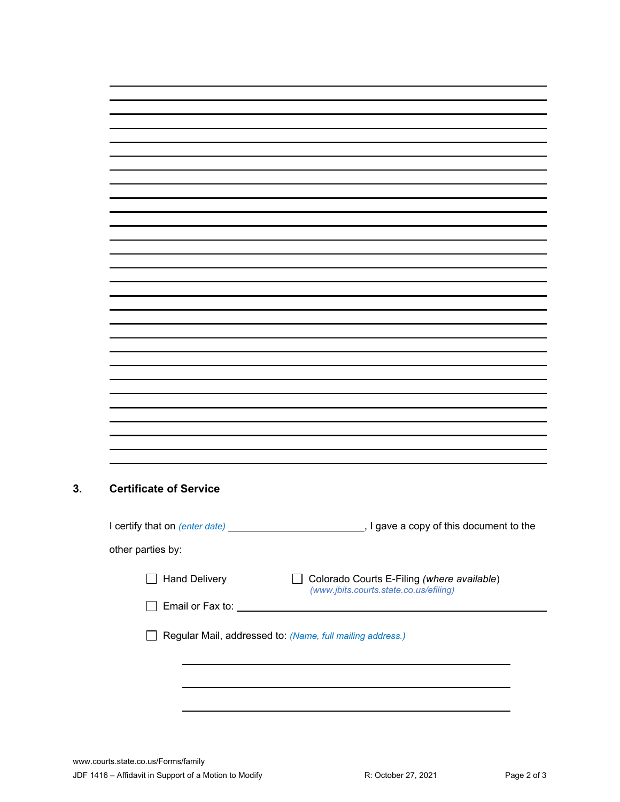## **3. Certificate of Service**

L

| other parties by:    |                                                                                      |
|----------------------|--------------------------------------------------------------------------------------|
| <b>Hand Delivery</b> | Colorado Courts E-Filing (where available)<br>(www.jbits.courts.state.co.us/efiling) |
| Email or Fax to:     |                                                                                      |
|                      | Regular Mail, addressed to: (Name, full mailing address.)                            |
|                      |                                                                                      |
|                      |                                                                                      |
|                      |                                                                                      |